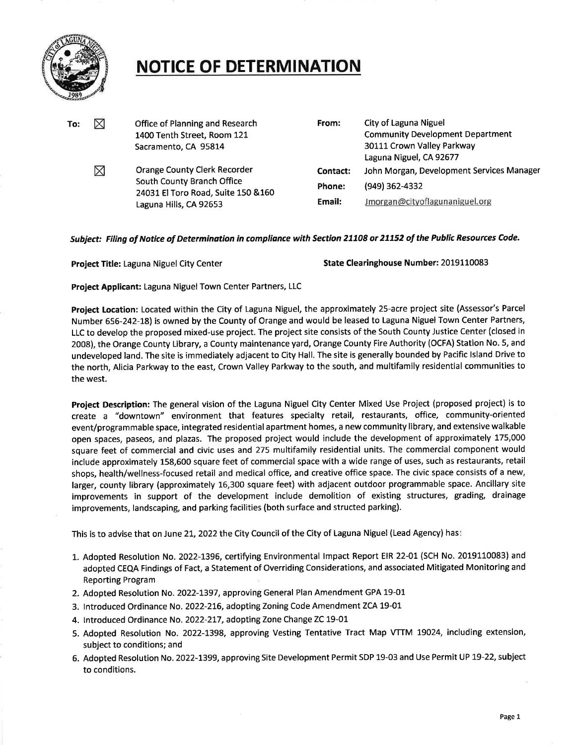

## **NOTICE OF DETERMINATION**

| To: | ⊠ | Office of Planning and Research<br>1400 Tenth Street, Room 121<br>Sacramento, CA 95814                                      | From:    | City of Laguna Niguel<br><b>Community Development Department</b><br>30111 Crown Valley Parkway<br>Laguna Niguel, CA 92677 |
|-----|---|-----------------------------------------------------------------------------------------------------------------------------|----------|---------------------------------------------------------------------------------------------------------------------------|
|     | ⊠ | Orange County Clerk Recorder<br>South County Branch Office<br>24031 El Toro Road, Suite 150 & 160<br>Laguna Hills, CA 92653 | Contact: | John Morgan, Development Services Manager                                                                                 |
|     |   |                                                                                                                             | Phone:   | (949) 362-4332                                                                                                            |
|     |   |                                                                                                                             | Email:   | Jmorgan@cityoflagunaniguel.org                                                                                            |

## **Subject: Filing of Notice of Determination in compliance with Section 21108 or 21152 of the Public Resources Code.**

**Project Title:** Laguna Niguel City Center **State Clearinghouse Number:** <sup>2019110083</sup>

**Project Applicant:** Laguna Niguel Town Center Partners, LLC

**Project Location:** Located within the City of Laguna Niguel, the approximately 25-acre project site (Assessor's Parcel Number 656-242-18) is owned by the County of Orange and would be leased to Laguna Niguel Town Center Partners, LLC to develop the proposed mixed-use project. The project site consists of the South County Justice Center (closed in 2008), the Orange County Library, a County maintenance yard, Orange County Fire Authority (OCFA) Station No. 5, and undeveloped land. The site is immediately adjacent to City Hall. The site is generally bounded by Pacific Island Drive to the north, Alicia Parkway to the east, Crown Valley Parkway to the south, and multifamily residential communities to the west.

**Project Description:** The general vision of the Laguna Niguel City Center Mixed Use Project (proposed project) is to create a "downtown" environment that features specialty retail, restaurants, office, community-oriented event/programmable space, integrated residential apartment homes, a new community library, and extensive walkable open spaces, paseos, and plazas. The proposed project would include the development of approximately 175,000 square feet of commercial and civic uses and 275 multifamily residential units. The commercial component would include approximately 158,600 square feet of commercial space with a wide range of uses, such as restaurants, retail shops, health/wellness-focused retail and medical office, and creative office space. The civic space consists of a new, larger, county library (approximately 16,300 square feet) with adjacent outdoor programmable space. Ancillary site improvements in support of the development include demolition of existing structures, grading, drainage improvements, landscaping, and parking facilities (both surface and structed parking).

This is to advise that on June 21, 2022 the City Council of the City of Laguna Niguel (Lead Agency) has:

- 1. Adopted Resolution No. 2022-1396, certifying Environmental Impact Report EIR 22-01 (SCH No. 2019110083) and adopted CEQA Findings of Fact, a Statement of Overriding Considerations, and associated Mitigated Monitoring and Reporting Program
- 2. Adopted Resolution No. 2022-1397, approving General Plan Amendment GPA 19-01
- 3. Introduced Ordinance No. 2022-216, adopting Zoning Code Amendment ZCA 19-01
- 4. Introduced Ordinance No. 2022-217, adopting Zone Change ZC 19-01
- 5. Adopted Resolution No. 2022-1398, approving Vesting Tentative Tract Map VTTM 19024, including extension, subject to conditions; and
- 6. Adopted Resolution No. 2022-1399, approving Site Development Permit SDP 19-03 and Use Permit UP 19-22, subject to conditions.